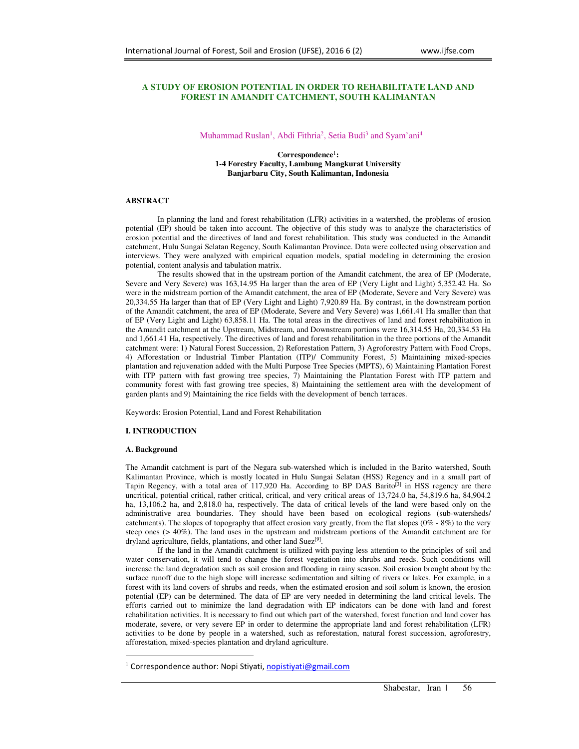# **A STUDY OF EROSION POTENTIAL IN ORDER TO REHABILITATE LAND AND FOREST IN AMANDIT CATCHMENT, SOUTH KALIMANTAN**

# Muhammad Ruslan<sup>1</sup>, Abdi Fithria<sup>2</sup>, Setia Budi<sup>3</sup> and Syam'ani<sup>4</sup>

**Correspondence**<sup>1</sup> **: 1-4 Forestry Faculty, Lambung Mangkurat University Banjarbaru City, South Kalimantan, Indonesia** 

# **ABSTRACT**

In planning the land and forest rehabilitation (LFR) activities in a watershed, the problems of erosion potential (EP) should be taken into account. The objective of this study was to analyze the characteristics of erosion potential and the directives of land and forest rehabilitation. This study was conducted in the Amandit catchment, Hulu Sungai Selatan Regency, South Kalimantan Province. Data were collected using observation and interviews. They were analyzed with empirical equation models, spatial modeling in determining the erosion potential, content analysis and tabulation matrix.

The results showed that in the upstream portion of the Amandit catchment, the area of EP (Moderate, Severe and Very Severe) was 163,14.95 Ha larger than the area of EP (Very Light and Light) 5,352.42 Ha. So were in the midstream portion of the Amandit catchment, the area of EP (Moderate, Severe and Very Severe) was 20,334.55 Ha larger than that of EP (Very Light and Light) 7,920.89 Ha. By contrast, in the downstream portion of the Amandit catchment, the area of EP (Moderate, Severe and Very Severe) was 1,661.41 Ha smaller than that of EP (Very Light and Light) 63,858.11 Ha. The total areas in the directives of land and forest rehabilitation in the Amandit catchment at the Upstream, Midstream, and Downstream portions were 16,314.55 Ha, 20,334.53 Ha and 1,661.41 Ha, respectively. The directives of land and forest rehabilitation in the three portions of the Amandit catchment were: 1) Natural Forest Succession, 2) Reforestation Pattern, 3) Agroforestry Pattern with Food Crops, 4) Afforestation or Industrial Timber Plantation (ITP)/ Community Forest, 5) Maintaining mixed-species plantation and rejuvenation added with the Multi Purpose Tree Species (MPTS), 6) Maintaining Plantation Forest with ITP pattern with fast growing tree species, 7) Maintaining the Plantation Forest with ITP pattern and community forest with fast growing tree species, 8) Maintaining the settlement area with the development of garden plants and 9) Maintaining the rice fields with the development of bench terraces.

Keywords: Erosion Potential, Land and Forest Rehabilitation

# **I. INTRODUCTION**

#### **A. Background**

l

The Amandit catchment is part of the Negara sub-watershed which is included in the Barito watershed, South Kalimantan Province, which is mostly located in Hulu Sungai Selatan (HSS) Regency and in a small part of Tapin Regency, with a total area of  $117,920$  Ha. According to BP DAS Barito<sup>[3]</sup> in HSS regency are there uncritical, potential critical, rather critical, critical, and very critical areas of 13,724.0 ha, 54,819.6 ha, 84,904.2 ha, 13,106.2 ha, and 2,818.0 ha, respectively. The data of critical levels of the land were based only on the administrative area boundaries. They should have been based on ecological regions (sub-watersheds/ catchments). The slopes of topography that affect erosion vary greatly, from the flat slopes ( $0\%$  -  $8\%$ ) to the very steep ones (> 40%). The land uses in the upstream and midstream portions of the Amandit catchment are for dryland agriculture, fields, plantations, and other land Suez<sup>[9]</sup>.

If the land in the Amandit catchment is utilized with paying less attention to the principles of soil and water conservation, it will tend to change the forest vegetation into shrubs and reeds. Such conditions will increase the land degradation such as soil erosion and flooding in rainy season. Soil erosion brought about by the surface runoff due to the high slope will increase sedimentation and silting of rivers or lakes. For example, in a forest with its land covers of shrubs and reeds, when the estimated erosion and soil solum is known, the erosion potential (EP) can be determined. The data of EP are very needed in determining the land critical levels. The efforts carried out to minimize the land degradation with EP indicators can be done with land and forest rehabilitation activities. It is necessary to find out which part of the watershed, forest function and land cover has moderate, severe, or very severe EP in order to determine the appropriate land and forest rehabilitation (LFR) activities to be done by people in a watershed, such as reforestation, natural forest succession, agroforestry, afforestation, mixed-species plantation and dryland agriculture.

<sup>&</sup>lt;sup>1</sup> Correspondence author: Nopi Stiyati, nopistiyati@gmail.com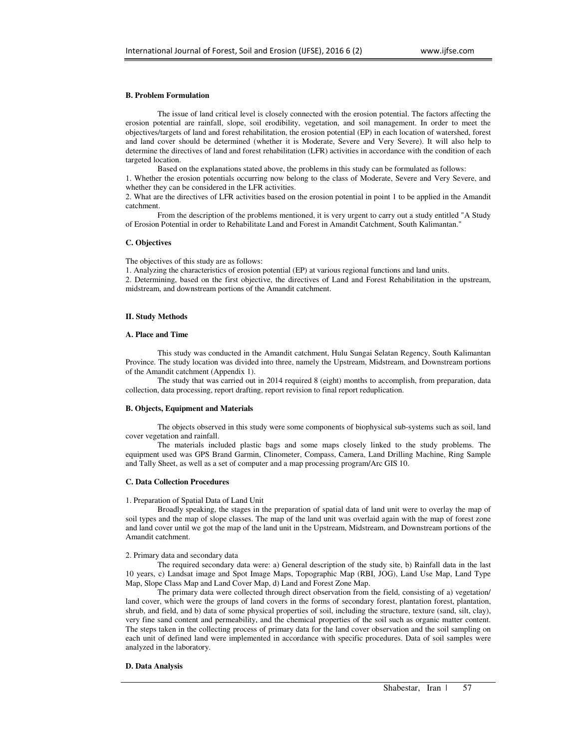### **B. Problem Formulation**

The issue of land critical level is closely connected with the erosion potential. The factors affecting the erosion potential are rainfall, slope, soil erodibility, vegetation, and soil management. In order to meet the objectives/targets of land and forest rehabilitation, the erosion potential (EP) in each location of watershed, forest and land cover should be determined (whether it is Moderate, Severe and Very Severe). It will also help to determine the directives of land and forest rehabilitation (LFR) activities in accordance with the condition of each targeted location.

Based on the explanations stated above, the problems in this study can be formulated as follows:

1. Whether the erosion potentials occurring now belong to the class of Moderate, Severe and Very Severe, and whether they can be considered in the LFR activities.

2. What are the directives of LFR activities based on the erosion potential in point 1 to be applied in the Amandit catchment.

From the description of the problems mentioned, it is very urgent to carry out a study entitled "A Study of Erosion Potential in order to Rehabilitate Land and Forest in Amandit Catchment, South Kalimantan."

# **C. Objectives**

The objectives of this study are as follows:

1. Analyzing the characteristics of erosion potential (EP) at various regional functions and land units.

2. Determining, based on the first objective, the directives of Land and Forest Rehabilitation in the upstream, midstream, and downstream portions of the Amandit catchment.

### **II. Study Methods**

# **A. Place and Time**

This study was conducted in the Amandit catchment, Hulu Sungai Selatan Regency, South Kalimantan Province. The study location was divided into three, namely the Upstream, Midstream, and Downstream portions of the Amandit catchment (Appendix 1).

The study that was carried out in 2014 required 8 (eight) months to accomplish, from preparation, data collection, data processing, report drafting, report revision to final report reduplication.

#### **B. Objects, Equipment and Materials**

The objects observed in this study were some components of biophysical sub-systems such as soil, land cover vegetation and rainfall.

The materials included plastic bags and some maps closely linked to the study problems. The equipment used was GPS Brand Garmin, Clinometer, Compass, Camera, Land Drilling Machine, Ring Sample and Tally Sheet, as well as a set of computer and a map processing program/Arc GIS 10.

### **C. Data Collection Procedures**

### 1. Preparation of Spatial Data of Land Unit

Broadly speaking, the stages in the preparation of spatial data of land unit were to overlay the map of soil types and the map of slope classes. The map of the land unit was overlaid again with the map of forest zone and land cover until we got the map of the land unit in the Upstream, Midstream, and Downstream portions of the Amandit catchment.

## 2. Primary data and secondary data

The required secondary data were: a) General description of the study site, b) Rainfall data in the last 10 years, c) Landsat image and Spot Image Maps, Topographic Map (RBI, JOG), Land Use Map, Land Type Map, Slope Class Map and Land Cover Map, d) Land and Forest Zone Map.

The primary data were collected through direct observation from the field, consisting of a) vegetation/ land cover, which were the groups of land covers in the forms of secondary forest, plantation forest, plantation, shrub, and field, and b) data of some physical properties of soil, including the structure, texture (sand, silt, clay), very fine sand content and permeability, and the chemical properties of the soil such as organic matter content. The steps taken in the collecting process of primary data for the land cover observation and the soil sampling on each unit of defined land were implemented in accordance with specific procedures. Data of soil samples were analyzed in the laboratory.

# **D. Data Analysis**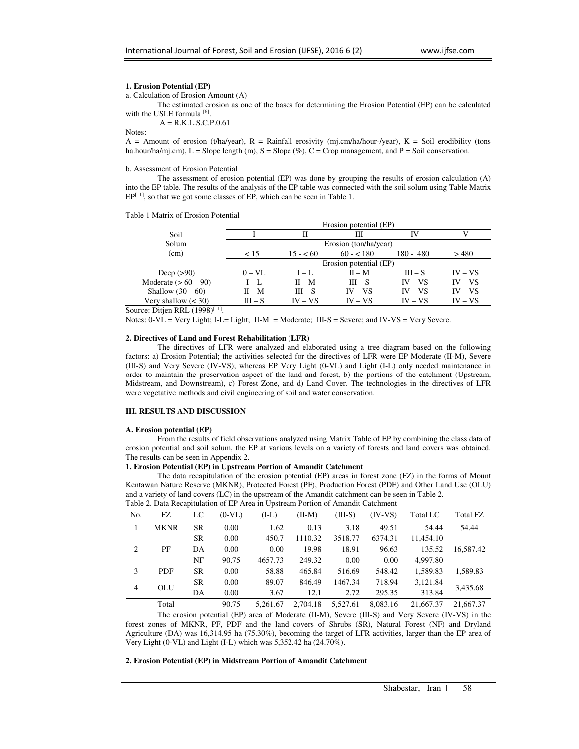#### **1. Erosion Potential (EP)**

a. Calculation of Erosion Amount (A)

The estimated erosion as one of the bases for determining the Erosion Potential (EP) can be calculated with the USLE formula [6].

 $A = R.K.L.S.C.P.0.61$ 

Notes:

 $A =$  Amount of erosion (t/ha/year),  $R =$  Rainfall erosivity (mj.cm/ha/hour-/year),  $K =$  Soil erodibility (tons ha.hour/ha/mj.cm), L = Slope length (m), S = Slope (%), C = Crop management, and P = Soil conservation.

#### b. Assessment of Erosion Potential

The assessment of erosion potential (EP) was done by grouping the results of erosion calculation (A) into the EP table. The results of the analysis of the EP table was connected with the soil solum using Table Matrix EP[11], so that we got some classes of EP, which can be seen in Table 1.

Table 1 Matrix of Erosion Potential

|                        |                               |                       |           | Erosion potential (EP) |             |           |  |  |  |  |
|------------------------|-------------------------------|-----------------------|-----------|------------------------|-------------|-----------|--|--|--|--|
| Soil                   |                               |                       | П         | Ш                      | IV          |           |  |  |  |  |
| Solum                  |                               | Erosion (ton/ha/year) |           |                        |             |           |  |  |  |  |
| (cm)                   |                               | < 15                  | $15 - 60$ | $60 - 180$             | $180 - 480$ | >480      |  |  |  |  |
|                        |                               |                       |           | Erosion potential (EP) |             |           |  |  |  |  |
| Deep $(>90)$           |                               | $0 - VL$              | $I - L$   | $II - M$               | $III - S$   | $IV - VS$ |  |  |  |  |
| Moderate $(> 60 - 90)$ |                               | $I - L$               | $II - M$  | $III - S$              | $IV - VS$   | $IV - VS$ |  |  |  |  |
| Shallow $(30-60)$      |                               | $II - M$              | $III - S$ | $IV - VS$              | $IV - VS$   | $IV - VS$ |  |  |  |  |
| Very shallow $(30)$    |                               | $III - S$             | $IV - VS$ | $IV - VS$              | $IV - VS$   | $IV - VS$ |  |  |  |  |
| $\sim$                 | $P(11)$ <b>DDI</b> (1000)[11] |                       |           |                        |             |           |  |  |  |  |

Source: Ditjen RRL (1998)<sup>[11]</sup>.

Notes:  $0-VL = V$ ery Light; I-L= Light; II-M = Moderate; III-S = Severe; and IV-VS = Very Severe.

# **2. Directives of Land and Forest Rehabilitation (LFR)**

The directives of LFR were analyzed and elaborated using a tree diagram based on the following factors: a) Erosion Potential; the activities selected for the directives of LFR were EP Moderate (II-M), Severe (III-S) and Very Severe (IV-VS); whereas EP Very Light (0-VL) and Light (I-L) only needed maintenance in order to maintain the preservation aspect of the land and forest, b) the portions of the catchment (Upstream, Midstream, and Downstream), c) Forest Zone, and d) Land Cover. The technologies in the directives of LFR were vegetative methods and civil engineering of soil and water conservation.

### **III. RESULTS AND DISCUSSION**

#### **A. Erosion potential (EP)**

From the results of field observations analyzed using Matrix Table of EP by combining the class data of erosion potential and soil solum, the EP at various levels on a variety of forests and land covers was obtained. The results can be seen in Appendix 2.

# **1. Erosion Potential (EP) in Upstream Portion of Amandit Catchment**

The data recapitulation of the erosion potential (EP) areas in forest zone (FZ) in the forms of Mount Kentawan Nature Reserve (MKNR), Protected Forest (PF), Production Forest (PDF) and Other Land Use (OLU) and a variety of land covers (LC) in the upstream of the Amandit catchment can be seen in Table 2. Table 2. Data Recapitulation of EP Area in Upstream Portion of Amandit Catchment

| No.            | FZ          | LC        | $(0-VL)$ | $(I-L)$  | $(II-M)$ | $(III-S)$ | $(IV-VS)$ | Total LC  | Total FZ  |
|----------------|-------------|-----------|----------|----------|----------|-----------|-----------|-----------|-----------|
|                | <b>MKNR</b> | <b>SR</b> | 0.00     | 1.62     | 0.13     | 3.18      | 49.51     | 54.44     | 54.44     |
|                |             | <b>SR</b> | 0.00     | 450.7    | 1110.32  | 3518.77   | 6374.31   | 11.454.10 |           |
| 2              | PF          | DA        | 0.00     | 0.00     | 19.98    | 18.91     | 96.63     | 135.52    | 16.587.42 |
|                |             | NF        | 90.75    | 4657.73  | 249.32   | 0.00      | 0.00      | 4,997.80  |           |
| 3              | <b>PDF</b>  | <b>SR</b> | 0.00     | 58.88    | 465.84   | 516.69    | 548.42    | 1.589.83  | 1,589.83  |
| $\overline{4}$ | <b>OLU</b>  | <b>SR</b> | 0.00     | 89.07    | 846.49   | 1467.34   | 718.94    | 3,121.84  | 3,435.68  |
|                |             | DA        | 0.00     | 3.67     | 12.1     | 2.72      | 295.35    | 313.84    |           |
|                | Total       |           | 90.75    | 5.261.67 | 2.704.18 | 5.527.61  | 8.083.16  | 21,667.37 | 21,667.37 |

The erosion potential (EP) area of Moderate (II-M), Severe (III-S) and Very Severe (IV-VS) in the forest zones of MKNR, PF, PDF and the land covers of Shrubs (SR), Natural Forest (NF) and Dryland Agriculture (DA) was 16,314.95 ha (75.30%), becoming the target of LFR activities, larger than the EP area of Very Light (0-VL) and Light (I-L) which was 5,352.42 ha (24.70%).

# **2. Erosion Potential (EP) in Midstream Portion of Amandit Catchment**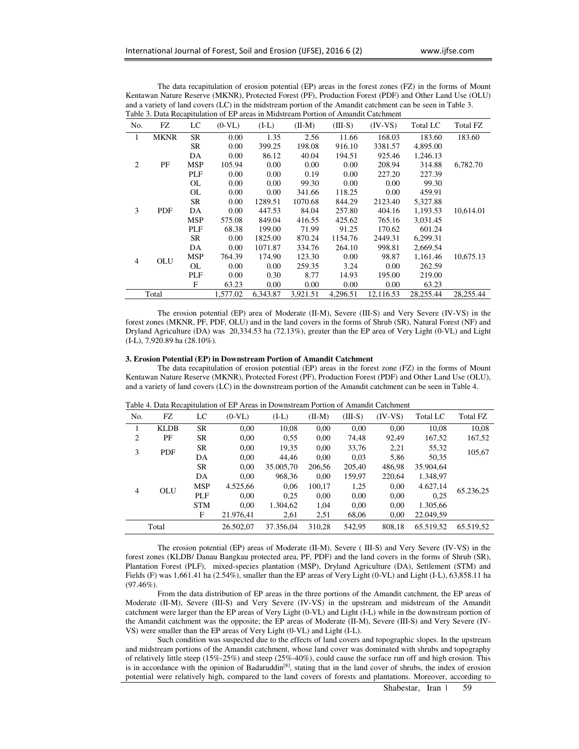The data recapitulation of erosion potential (EP) areas in the forest zones (FZ) in the forms of Mount Kentawan Nature Reserve (MKNR), Protected Forest (PF), Production Forest (PDF) and Other Land Use (OLU) and a variety of land covers (LC) in the midstream portion of the Amandit catchment can be seen in Table 3. Table 3. Data Recapitulation of EP areas in Midstream Portion of Amandit Catchment

| No.            | FZ          | LC        | $(0-VL)$ | $(I-L)$  | $(II-M)$ | $(III-S)$ | $(IV-VS)$ | Total LC  | Total FZ    |
|----------------|-------------|-----------|----------|----------|----------|-----------|-----------|-----------|-------------|
| ı.             | <b>MKNR</b> | SR.       | 0.00     | 1.35     | 2.56     | 11.66     | 168.03    | 183.60    | 183.60      |
|                |             | <b>SR</b> | 0.00     | 399.25   | 198.08   | 916.10    | 3381.57   | 4,895.00  |             |
|                |             | DA        | 0.00     | 86.12    | 40.04    | 194.51    | 925.46    | 1,246.13  |             |
| 2              | PF          | MSP       | 105.94   | 0.00     | 0.00     | 0.00      | 208.94    | 314.88    | 6,782.70    |
|                |             | PLF       | 0.00     | 0.00     | 0.19     | 0.00      | 227.20    | 227.39    |             |
|                |             | <b>OL</b> | 0.00     | 0.00     | 99.30    | 0.00      | 0.00      | 99.30     |             |
|                |             | <b>OL</b> | 0.00     | 0.00     | 341.66   | 118.25    | 0.00      | 459.91    |             |
|                |             | <b>SR</b> | 0.00     | 1289.51  | 1070.68  | 844.29    | 2123.40   | 5,327.88  |             |
| 3              | <b>PDF</b>  | DA        | 0.00     | 447.53   | 84.04    | 257.80    | 404.16    | 1.193.53  | 10.614.01   |
|                |             | MSP       | 575.08   | 849.04   | 416.55   | 425.62    | 765.16    | 3.031.45  |             |
|                |             | PLF       | 68.38    | 199.00   | 71.99    | 91.25     | 170.62    | 601.24    |             |
|                |             | <b>SR</b> | 0.00     | 1825.00  | 870.24   | 1154.76   | 2449.31   | 6,299.31  |             |
|                |             | DA        | 0.00     | 1071.87  | 334.76   | 264.10    | 998.81    | 2,669.54  |             |
|                |             | MSP       | 764.39   | 174.90   | 123.30   | 0.00      | 98.87     | 1,161.46  | 10,675.13   |
| $\overline{4}$ | <b>OLU</b>  | OL.       | 0.00     | 0.00     | 259.35   | 3.24      | 0.00      | 262.59    |             |
|                |             | PLF       | 0.00     | 0.30     | 8.77     | 14.93     | 195.00    | 219.00    |             |
|                |             | F         | 63.23    | 0.00     | 0.00     | 0.00      | 0.00      | 63.23     |             |
|                | Total       |           | 1,577.02 | 6.343.87 | 3,921.51 | 4,296.51  | 12.116.53 | 28,255.44 | 28, 255. 44 |

The erosion potential (EP) area of Moderate (II-M), Severe (III-S) and Very Severe (IV-VS) in the forest zones (MKNR, PF, PDF, OLU) and in the land covers in the forms of Shrub (SR), Natural Forest (NF) and Dryland Agriculture (DA) was 20,334.53 ha (72.13%), greater than the EP area of Very Light (0-VL) and Light (I-L), 7,920.89 ha (28.10%).

# **3. Erosion Potential (EP) in Downstream Portion of Amandit Catchment**

 The data recapitulation of erosion potential (EP) areas in the forest zone (FZ) in the forms of Mount Kentawan Nature Reserve (MKNR), Protected Forest (PF), Production Forest (PDF) and Other Land Use (OLU), and a variety of land covers (LC) in the downstream portion of the Amandit catchment can be seen in Table 4.

| No.            | FZ          | LC         | $(0-VL)$  | $(I-L)$   | $(II-M)$ | $(III-S)$ | $(IV-VS)$ | Total LC  | Total FZ  |
|----------------|-------------|------------|-----------|-----------|----------|-----------|-----------|-----------|-----------|
| 1              | <b>KLDB</b> | <b>SR</b>  | 0,00      | 10,08     | 0,00     | 0,00      | 0,00      | 10,08     | 10,08     |
| $\overline{2}$ | PF          | <b>SR</b>  | 0,00      | 0.55      | 0,00     | 74.48     | 92,49     | 167,52    | 167,52    |
| 3<br>PDF       | SR          | 0,00       | 19,35     | 0,00      | 33,76    | 2,21      | 55,32     |           |           |
|                |             | DA         | 0,00      | 44,46     | 0.00     | 0,03      | 5,86      | 50,35     | 105,67    |
|                |             | <b>SR</b>  | 0.00      | 35.005,70 | 206,56   | 205,40    | 486,98    | 35.904,64 |           |
|                |             | DA         | 0,00      | 968,36    | 0.00     | 159,97    | 220,64    | 1.348,97  |           |
| 4              | <b>OLU</b>  | <b>MSP</b> | 4.525,66  | 0,06      | 100,17   | 1,25      | 0.00      | 4.627,14  |           |
|                |             | PLF        | 0.00      | 0.25      | 0.00     | 0.00      | 0.00      | 0.25      | 65.236,25 |
|                |             | <b>STM</b> | 0.00      | 1.304,62  | 1,04     | 0.00      | 0,00      | 1.305,66  |           |
|                |             | F          | 21.976,41 | 2,61      | 2,51     | 68,06     | 0.00      | 22.049,59 |           |
|                | Total       |            | 26.502.07 | 37.356,04 | 310.28   | 542.95    | 808.18    | 65.519,52 | 65.519.52 |

Table 4. Data Recapitulation of EP Areas in Downstream Portion of Amandit Catchment

The erosion potential (EP) areas of Moderate (II-M), Severe ( III-S) and Very Severe (IV-VS) in the forest zones (KLDB/ Danau Bangkau protected area, PF, PDF) and the land covers in the forms of Shrub (SR), Plantation Forest (PLF), mixed-species plantation (MSP), Dryland Agriculture (DA), Settlement (STM) and Fields (F) was 1,661.41 ha (2.54%), smaller than the EP areas of Very Light (0-VL) and Light (I-L), 63,858.11 ha (97.46%).

From the data distribution of EP areas in the three portions of the Amandit catchment, the EP areas of Moderate (II-M), Severe (III-S) and Very Severe (IV-VS) in the upstream and midstream of the Amandit catchment were larger than the EP areas of Very Light (0-VL) and Light (I-L) while in the downstream portion of the Amandit catchment was the opposite; the EP areas of Moderate (II-M), Severe (III-S) and Very Severe (IV-VS) were smaller than the EP areas of Very Light (0-VL) and Light (I-L).

Such condition was suspected due to the effects of land covers and topographic slopes. In the upstream and midstream portions of the Amandit catchment, whose land cover was dominated with shrubs and topography of relatively little steep (15%-25%) and steep (25%-40%), could cause the surface run off and high erosion. This is in accordance with the opinion of Badaruddin<sup>[8]</sup>, stating that in the land cover of shrubs, the index of erosion potential were relatively high, compared to the land covers of forests and plantations. Moreover, according to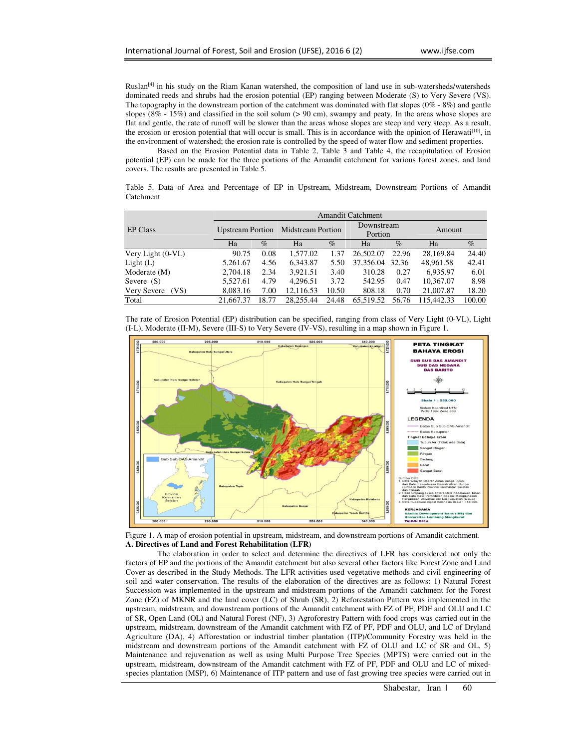Ruslan<sup>[4]</sup> in his study on the Riam Kanan watershed, the composition of land use in sub-watersheds/watersheds dominated reeds and shrubs had the erosion potential (EP) ranging between Moderate (S) to Very Severe (VS). The topography in the downstream portion of the catchment was dominated with flat slopes (0% - 8%) and gentle slopes (8% - 15%) and classified in the soil solum (> 90 cm), swampy and peaty. In the areas whose slopes are flat and gentle, the rate of runoff will be slower than the areas whose slopes are steep and very steep. As a result, the erosion or erosion potential that will occur is small. This is in accordance with the opinion of Herawati<sup>[10]</sup>, in the environment of watershed; the erosion rate is controlled by the speed of water flow and sediment properties.

Based on the Erosion Potential data in Table 2, Table 3 and Table 4, the recapitulation of Erosion potential (EP) can be made for the three portions of the Amandit catchment for various forest zones, and land covers. The results are presented in Table 5.

Table 5. Data of Area and Percentage of EP in Upstream, Midstream, Downstream Portions of Amandit Catchment

|                   | <b>Amandit Catchment</b> |       |                          |       |                       |       |            |        |  |  |
|-------------------|--------------------------|-------|--------------------------|-------|-----------------------|-------|------------|--------|--|--|
| <b>EP Class</b>   | <b>Upstream Portion</b>  |       | <b>Midstream Portion</b> |       | Downstream<br>Portion |       | Amount     |        |  |  |
|                   | Ha                       | $\%$  | Ha                       | $\%$  | Ha                    | $\%$  | Ha         | $\%$   |  |  |
| Very Light (0-VL) | 90.75                    | 0.08  | 1.577.02                 | 1.37  | 26,502.07             | 22.96 | 28.169.84  | 24.40  |  |  |
| Light (L)         | 5,261.67                 | 4.56  | 6,343.87                 | 5.50  | 37,356.04             | 32.36 | 48,961.58  | 42.41  |  |  |
| Moderate (M)      | 2.704.18                 | 2.34  | 3.921.51                 | 3.40  | 310.28                | 0.27  | 6.935.97   | 6.01   |  |  |
| Severe $(S)$      | 5,527.61                 | 4.79  | 4,296.51                 | 3.72  | 542.95                | 0.47  | 10,367.07  | 8.98   |  |  |
| Very Severe (VS)  | 8,083.16                 | 7.00  | 12,116.53                | 10.50 | 808.18                | 0.70  | 21,007.87  | 18.20  |  |  |
| Total             | 21,667.37                | 18.77 | 28.255.44                | 24.48 | 65.519.52             | 56.76 | 115,442.33 | 100.00 |  |  |

The rate of Erosion Potential (EP) distribution can be specified, ranging from class of Very Light (0-VL), Light (I-L), Moderate (II-M), Severe (III-S) to Very Severe (IV-VS), resulting in a map shown in Figure 1.



Figure 1. A map of erosion potential in upstream, midstream, and downstream portions of Amandit catchment. **A. Directives of Land and Forest Rehabilitation (LFR)** 

The elaboration in order to select and determine the directives of LFR has considered not only the factors of EP and the portions of the Amandit catchment but also several other factors like Forest Zone and Land Cover as described in the Study Methods. The LFR activities used vegetative methods and civil engineering of soil and water conservation. The results of the elaboration of the directives are as follows: 1) Natural Forest Succession was implemented in the upstream and midstream portions of the Amandit catchment for the Forest Zone (FZ) of MKNR and the land cover (LC) of Shrub (SR), 2) Reforestation Pattern was implemented in the upstream, midstream, and downstream portions of the Amandit catchment with FZ of PF, PDF and OLU and LC of SR, Open Land (OL) and Natural Forest (NF), 3) Agroforestry Pattern with food crops was carried out in the upstream, midstream, downstream of the Amandit catchment with FZ of PF, PDF and OLU, and LC of Dryland Agriculture (DA), 4) Afforestation or industrial timber plantation (ITP)/Community Forestry was held in the midstream and downstream portions of the Amandit catchment with FZ of OLU and LC of SR and OL, 5) Maintenance and rejuvenation as well as using Multi Purpose Tree Species (MPTS) were carried out in the upstream, midstream, downstream of the Amandit catchment with FZ of PF, PDF and OLU and LC of mixedspecies plantation (MSP), 6) Maintenance of ITP pattern and use of fast growing tree species were carried out in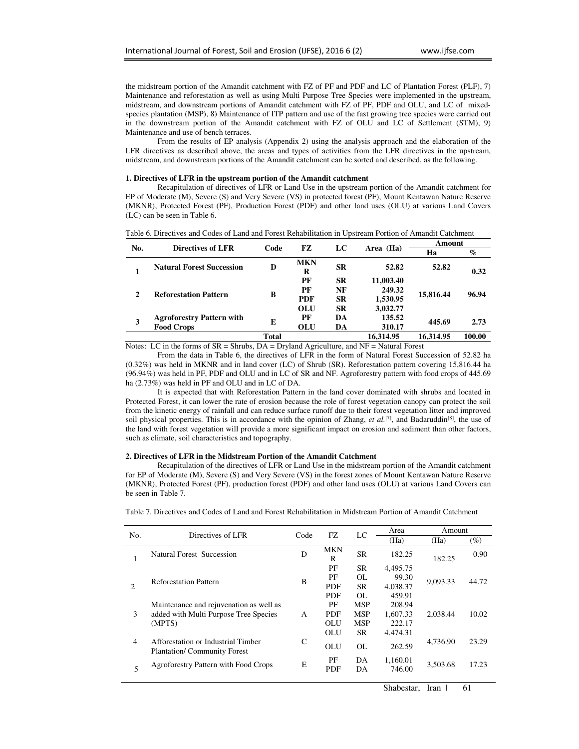the midstream portion of the Amandit catchment with FZ of PF and PDF and LC of Plantation Forest (PLF), 7) Maintenance and reforestation as well as using Multi Purpose Tree Species were implemented in the upstream, midstream, and downstream portions of Amandit catchment with FZ of PF, PDF and OLU, and LC of mixedspecies plantation (MSP), 8) Maintenance of ITP pattern and use of the fast growing tree species were carried out in the downstream portion of the Amandit catchment with FZ of OLU and LC of Settlement (STM), 9) Maintenance and use of bench terraces.

From the results of EP analysis (Appendix 2) using the analysis approach and the elaboration of the LFR directives as described above, the areas and types of activities from the LFR directives in the upstream, midstream, and downstream portions of the Amandit catchment can be sorted and described, as the following.

## **1. Directives of LFR in the upstream portion of the Amandit catchment**

Recapitulation of directives of LFR or Land Use in the upstream portion of the Amandit catchment for EP of Moderate (M), Severe (S) and Very Severe (VS) in protected forest (PF), Mount Kentawan Nature Reserve (MKNR), Protected Forest (PF), Production Forest (PDF) and other land uses (OLU) at various Land Covers (LC) can be seen in Table 6.

| No. | <b>Directives of LFR</b>                              | Code         | FZ                            | LC                                        | Area (Ha)                                   | Amount    |        |
|-----|-------------------------------------------------------|--------------|-------------------------------|-------------------------------------------|---------------------------------------------|-----------|--------|
|     |                                                       |              |                               |                                           |                                             | Ha        | $\%$   |
|     | <b>Natural Forest Succession</b>                      | D            | <b>MKN</b><br>R               | <b>SR</b>                                 | 52.82                                       | 52.82     | 0.32   |
| 2   | <b>Reforestation Pattern</b>                          | B            | PF<br>PF<br><b>PDF</b><br>OLU | <b>SR</b><br>NF<br><b>SR</b><br><b>SR</b> | 11,003.40<br>249.32<br>1,530.95<br>3,032.77 | 15,816.44 | 96.94  |
| 3   | <b>Agroforestry Pattern with</b><br><b>Food Crops</b> | E            | PF<br><b>OLU</b>              | DA<br>DA                                  | 135.52<br>310.17                            | 445.69    | 2.73   |
|     |                                                       | <b>Total</b> |                               |                                           | 16.314.95                                   | 16.314.95 | 100.00 |

Table 6. Directives and Codes of Land and Forest Rehabilitation in Upstream Portion of Amandit Catchment

Notes: LC in the forms of  $SR = Shrubs$ ,  $DA = Dryland$  Agriculture, and  $NF = Natural Forest$ 

From the data in Table 6, the directives of LFR in the form of Natural Forest Succession of 52.82 ha (0.32%) was held in MKNR and in land cover (LC) of Shrub (SR). Reforestation pattern covering 15,816.44 ha (96.94%) was held in PF, PDF and OLU and in LC of SR and NF. Agroforestry pattern with food crops of 445.69 ha (2.73%) was held in PF and OLU and in LC of DA.

It is expected that with Reforestation Pattern in the land cover dominated with shrubs and located in Protected Forest, it can lower the rate of erosion because the role of forest vegetation canopy can protect the soil from the kinetic energy of rainfall and can reduce surface runoff due to their forest vegetation litter and improved soil physical properties. This is in accordance with the opinion of Zhang, *et al.*<sup>[7]</sup>, and Badaruddin<sup>[8]</sup>, the use of the land with forest vegetation will provide a more significant impact on erosion and sediment than other factors, such as climate, soil characteristics and topography.

# **2. Directives of LFR in the Midstream Portion of the Amandit Catchment**

Recapitulation of the directives of LFR or Land Use in the midstream portion of the Amandit catchment for EP of Moderate (M), Severe (S) and Very Severe (VS) in the forest zones of Mount Kentawan Nature Reserve (MKNR), Protected Forest (PF), production forest (PDF) and other land uses (OLU) at various Land Covers can be seen in Table 7.

| No.                               | Directives of LFR                       | Code         | FZ.        | LC         | Area     | Amount   |        |
|-----------------------------------|-----------------------------------------|--------------|------------|------------|----------|----------|--------|
|                                   |                                         |              |            |            | (Ha)     | (Ha)     | $(\%)$ |
|                                   | Natural Forest Succession               | D            | MKN        | <b>SR</b>  | 182.25   |          | 0.90   |
| ı                                 |                                         |              | R          |            |          | 182.25   |        |
|                                   |                                         |              | PF         | <b>SR</b>  | 4.495.75 |          |        |
| <b>Reforestation Pattern</b><br>2 |                                         | B            | PF         | <b>OL</b>  | 99.30    | 9,093.33 | 44.72  |
|                                   |                                         |              | <b>PDF</b> | <b>SR</b>  | 4,038.37 |          |        |
|                                   |                                         |              | <b>PDF</b> | OL         | 459.91   |          |        |
|                                   | Maintenance and rejuvenation as well as |              | PF         | <b>MSP</b> | 208.94   |          |        |
| 3                                 | added with Multi Purpose Tree Species   | $\mathsf{A}$ | <b>PDF</b> | <b>MSP</b> | 1.607.33 | 2.038.44 | 10.02  |
|                                   | (MPTS)                                  |              | OLU        | <b>MSP</b> | 222.17   |          |        |
|                                   |                                         |              | OLU        | <b>SR</b>  | 4.474.31 |          |        |
| 4                                 | Afforestation or Industrial Timber      | C            | OLU        | <b>OL</b>  | 262.59   | 4,736.90 | 23.29  |
|                                   | <b>Plantation/Community Forest</b>      |              |            |            |          |          |        |
|                                   | Agroforestry Pattern with Food Crops    | Е            | PF         | DA         | 1,160.01 | 3,503.68 | 17.23  |
| 5                                 |                                         |              | <b>PDF</b> | DA         | 746.00   |          |        |
|                                   |                                         |              |            |            |          |          |        |

Table 7. Directives and Codes of Land and Forest Rehabilitation in Midstream Portion of Amandit Catchment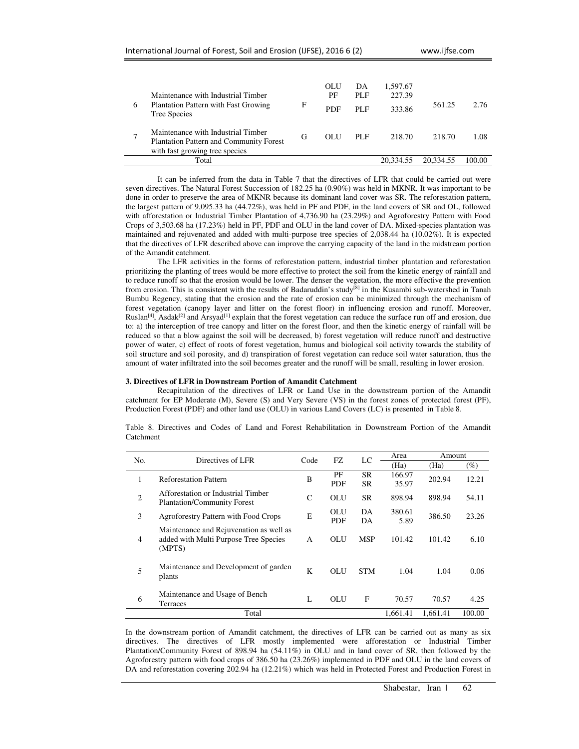# International Journal of Forest, Soil and Erosion (IJFSE), 2016 6 (2) www.ijfse.com

| 6 | Maintenance with Industrial Timber<br>Plantation Pattern with Fast Growing<br>Tree Species                      | F | OLU<br>РF<br><b>PDF</b> | DA<br>PLF<br>PLF | 1,597.67<br>227.39<br>333.86 | 561.25    | 2.76   |
|---|-----------------------------------------------------------------------------------------------------------------|---|-------------------------|------------------|------------------------------|-----------|--------|
|   | Maintenance with Industrial Timber<br>Plantation Pattern and Community Forest<br>with fast growing tree species | G | <b>OLU</b>              | PL F             | 218.70                       | 218.70    | 1.08   |
|   | Total                                                                                                           |   |                         |                  | 20.334.55                    | 20.334.55 | 100.00 |

It can be inferred from the data in Table 7 that the directives of LFR that could be carried out were seven directives. The Natural Forest Succession of 182.25 ha (0.90%) was held in MKNR. It was important to be done in order to preserve the area of MKNR because its dominant land cover was SR. The reforestation pattern, the largest pattern of 9,095.33 ha (44.72%), was held in PF and PDF, in the land covers of SR and OL, followed with afforestation or Industrial Timber Plantation of 4,736.90 ha (23.29%) and Agroforestry Pattern with Food Crops of 3,503.68 ha (17.23%) held in PF, PDF and OLU in the land cover of DA. Mixed-species plantation was maintained and rejuvenated and added with multi-purpose tree species of 2,038.44 ha (10.02%). It is expected that the directives of LFR described above can improve the carrying capacity of the land in the midstream portion of the Amandit catchment.

The LFR activities in the forms of reforestation pattern, industrial timber plantation and reforestation prioritizing the planting of trees would be more effective to protect the soil from the kinetic energy of rainfall and to reduce runoff so that the erosion would be lower. The denser the vegetation, the more effective the prevention from erosion. This is consistent with the results of Badaruddin's study<sup>[8]</sup> in the Kusambi sub-watershed in Tanah Bumbu Regency, stating that the erosion and the rate of erosion can be minimized through the mechanism of forest vegetation (canopy layer and litter on the forest floor) in influencing erosion and runoff. Moreover, Ruslan<sup>[4]</sup>, Asdak<sup>[2]</sup> and Arsyad<sup>[1]</sup> explain that the forest vegetation can reduce the surface run off and erosion, due to: a) the interception of tree canopy and litter on the forest floor, and then the kinetic energy of rainfall will be reduced so that a blow against the soil will be decreased, b) forest vegetation will reduce runoff and destructive power of water, c) effect of roots of forest vegetation, humus and biological soil activity towards the stability of soil structure and soil porosity, and d) transpiration of forest vegetation can reduce soil water saturation, thus the amount of water infiltrated into the soil becomes greater and the runoff will be small, resulting in lower erosion.

### **3. Directives of LFR in Downstream Portion of Amandit Catchment**

Recapitulation of the directives of LFR or Land Use in the downstream portion of the Amandit catchment for EP Moderate (M), Severe (S) and Very Severe (VS) in the forest zones of protected forest (PF), Production Forest (PDF) and other land use (OLU) in various Land Covers (LC) is presented in Table 8.

| No.            | Directives of LFR                                                                          | Code | FZ.               | LC               | Area            | Amount   |        |
|----------------|--------------------------------------------------------------------------------------------|------|-------------------|------------------|-----------------|----------|--------|
|                |                                                                                            |      |                   |                  | (Ha)            | (Ha)     | (%)    |
| 1              | <b>Reforestation Pattern</b>                                                               | B    | PF<br><b>PDF</b>  | SR.<br><b>SR</b> | 166.97<br>35.97 | 202.94   | 12.21  |
| $\overline{2}$ | Afforestation or Industrial Timber<br><b>Plantation/Community Forest</b>                   | C    | <b>OLU</b>        | <b>SR</b>        | 898.94          | 898.94   | 54.11  |
| 3              | Agroforestry Pattern with Food Crops                                                       | E    | OLU<br><b>PDF</b> | DA<br>DA         | 380.61<br>5.89  | 386.50   | 23.26  |
| $\overline{4}$ | Maintenance and Rejuvenation as well as<br>added with Multi Purpose Tree Species<br>(MPTS) | A    | OLU               | <b>MSP</b>       | 101.42          | 101.42   | 6.10   |
| 5              | Maintenance and Development of garden<br>plants                                            | K    | <b>OLU</b>        | <b>STM</b>       | 1.04            | 1.04     | 0.06   |
| 6              | Maintenance and Usage of Bench<br>Terraces                                                 | L    | <b>OLU</b>        | F                | 70.57           | 70.57    | 4.25   |
|                | Total                                                                                      |      |                   |                  | 1.661.41        | 1.661.41 | 100.00 |

Table 8. Directives and Codes of Land and Forest Rehabilitation in Downstream Portion of the Amandit Catchment

In the downstream portion of Amandit catchment, the directives of LFR can be carried out as many as six directives. The directives of LFR mostly implemented were afforestation or Industrial Timber Plantation/Community Forest of 898.94 ha (54.11%) in OLU and in land cover of SR, then followed by the Agroforestry pattern with food crops of 386.50 ha (23.26%) implemented in PDF and OLU in the land covers of DA and reforestation covering 202.94 ha (12.21%) which was held in Protected Forest and Production Forest in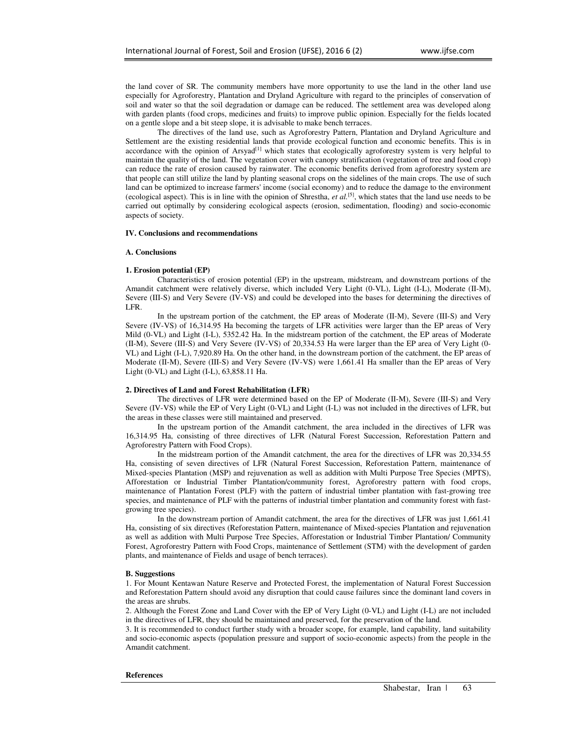the land cover of SR. The community members have more opportunity to use the land in the other land use especially for Agroforestry, Plantation and Dryland Agriculture with regard to the principles of conservation of soil and water so that the soil degradation or damage can be reduced. The settlement area was developed along with garden plants (food crops, medicines and fruits) to improve public opinion. Especially for the fields located on a gentle slope and a bit steep slope, it is advisable to make bench terraces.

The directives of the land use, such as Agroforestry Pattern, Plantation and Dryland Agriculture and Settlement are the existing residential lands that provide ecological function and economic benefits. This is in accordance with the opinion of Arsyad<sup>[1]</sup> which states that ecologically agroforestry system is very helpful to maintain the quality of the land. The vegetation cover with canopy stratification (vegetation of tree and food crop) can reduce the rate of erosion caused by rainwater. The economic benefits derived from agroforestry system are that people can still utilize the land by planting seasonal crops on the sidelines of the main crops. The use of such land can be optimized to increase farmers' income (social economy) and to reduce the damage to the environment (ecological aspect). This is in line with the opinion of Shrestha, *et al.*[5], which states that the land use needs to be carried out optimally by considering ecological aspects (erosion, sedimentation, flooding) and socio-economic aspects of society.

## **IV. Conclusions and recommendations**

### **A. Conclusions**

### **1. Erosion potential (EP)**

Characteristics of erosion potential (EP) in the upstream, midstream, and downstream portions of the Amandit catchment were relatively diverse, which included Very Light (0-VL), Light (I-L), Moderate (II-M), Severe (III-S) and Very Severe (IV-VS) and could be developed into the bases for determining the directives of LFR.

In the upstream portion of the catchment, the EP areas of Moderate (II-M), Severe (III-S) and Very Severe (IV-VS) of 16,314.95 Ha becoming the targets of LFR activities were larger than the EP areas of Very Mild (0-VL) and Light (I-L), 5352.42 Ha. In the midstream portion of the catchment, the EP areas of Moderate (II-M), Severe (III-S) and Very Severe (IV-VS) of 20,334.53 Ha were larger than the EP area of Very Light (0- VL) and Light (I-L), 7,920.89 Ha. On the other hand, in the downstream portion of the catchment, the EP areas of Moderate (II-M), Severe (III-S) and Very Severe (IV-VS) were 1,661.41 Ha smaller than the EP areas of Very Light (0-VL) and Light (I-L), 63,858.11 Ha.

#### **2. Directives of Land and Forest Rehabilitation (LFR)**

The directives of LFR were determined based on the EP of Moderate (II-M), Severe (III-S) and Very Severe (IV-VS) while the EP of Very Light (0-VL) and Light (I-L) was not included in the directives of LFR, but the areas in these classes were still maintained and preserved.

In the upstream portion of the Amandit catchment, the area included in the directives of LFR was 16,314.95 Ha, consisting of three directives of LFR (Natural Forest Succession, Reforestation Pattern and Agroforestry Pattern with Food Crops).

In the midstream portion of the Amandit catchment, the area for the directives of LFR was 20,334.55 Ha, consisting of seven directives of LFR (Natural Forest Succession, Reforestation Pattern, maintenance of Mixed-species Plantation (MSP) and rejuvenation as well as addition with Multi Purpose Tree Species (MPTS), Afforestation or Industrial Timber Plantation/community forest, Agroforestry pattern with food crops, maintenance of Plantation Forest (PLF) with the pattern of industrial timber plantation with fast-growing tree species, and maintenance of PLF with the patterns of industrial timber plantation and community forest with fastgrowing tree species).

In the downstream portion of Amandit catchment, the area for the directives of LFR was just 1,661.41 Ha, consisting of six directives (Reforestation Pattern, maintenance of Mixed-species Plantation and rejuvenation as well as addition with Multi Purpose Tree Species, Afforestation or Industrial Timber Plantation/ Community Forest, Agroforestry Pattern with Food Crops, maintenance of Settlement (STM) with the development of garden plants, and maintenance of Fields and usage of bench terraces).

#### **B. Suggestions**

1. For Mount Kentawan Nature Reserve and Protected Forest, the implementation of Natural Forest Succession and Reforestation Pattern should avoid any disruption that could cause failures since the dominant land covers in the areas are shrubs.

2. Although the Forest Zone and Land Cover with the EP of Very Light (0-VL) and Light (I-L) are not included in the directives of LFR, they should be maintained and preserved, for the preservation of the land.

3. It is recommended to conduct further study with a broader scope, for example, land capability, land suitability and socio-economic aspects (population pressure and support of socio-economic aspects) from the people in the Amandit catchment.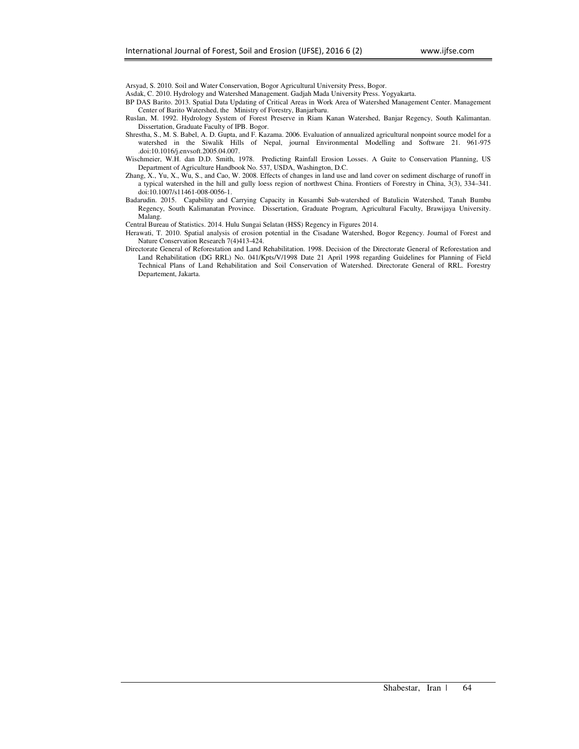Arsyad, S. 2010. Soil and Water Conservation, Bogor Agricultural University Press, Bogor.

Asdak, C. 2010. Hydrology and Watershed Management. Gadjah Mada University Press. Yogyakarta.

BP DAS Barito. 2013. Spatial Data Updating of Critical Areas in Work Area of Watershed Management Center. Management Center of Barito Watershed, the Ministry of Forestry, Banjarbaru.

Ruslan, M. 1992. Hydrology System of Forest Preserve in Riam Kanan Watershed, Banjar Regency, South Kalimantan. Dissertation, Graduate Faculty of IPB. Bogor.

Shrestha, S., M. S. Babel, A. D. Gupta, and F. Kazama. 2006. Evaluation of annualized agricultural nonpoint source model for a watershed in the Siwalik Hills of Nepal, journal Environmental Modelling and Software 21. 961-975 .doi:10.1016/j.envsoft.2005.04.007.

Wischmeier, W.H. dan D.D. Smith, 1978. Predicting Rainfall Erosion Losses. A Guite to Conservation Planning, US Department of Agriculture Handbook No. 537, USDA, Washington, D.C.

- Zhang, X., Yu, X., Wu, S., and Cao, W. 2008. Effects of changes in land use and land cover on sediment discharge of runoff in a typical watershed in the hill and gully loess region of northwest China. Frontiers of Forestry in China, 3(3), 334–341. doi:10.1007/s11461-008-0056-1.
- Badarudin. 2015. Capability and Carrying Capacity in Kusambi Sub-watershed of Batulicin Watershed, Tanah Bumbu Regency, South Kalimanatan Province. Dissertation, Graduate Program, Agricultural Faculty, Brawijaya University. Malang.

Central Bureau of Statistics. 2014. Hulu Sungai Selatan (HSS) Regency in Figures 2014.

- Herawati, T. 2010. Spatial analysis of erosion potential in the Cisadane Watershed, Bogor Regency. Journal of Forest and Nature Conservation Research 7(4)413-424.
- Directorate General of Reforestation and Land Rehabilitation. 1998. Decision of the Directorate General of Reforestation and Land Rehabilitation (DG RRL) No. 041/Kpts/V/1998 Date 21 April 1998 regarding Guidelines for Planning of Field Technical Plans of Land Rehabilitation and Soil Conservation of Watershed. Directorate General of RRL. Forestry Departement, Jakarta.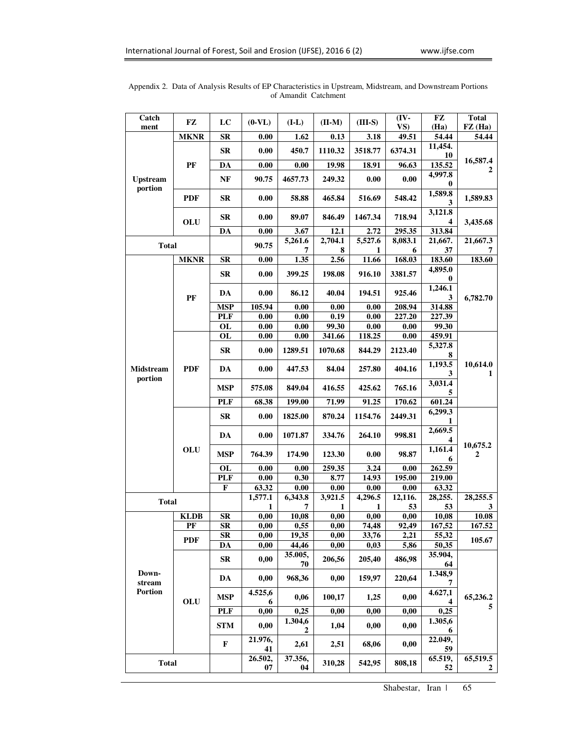| Catch                       | FZ          | LC                     | $(0-VL)$      | $(I-L)$       | $(II-M)$  | $(III-S)$  | (IV-          | FZ            | <b>Total</b>                |
|-----------------------------|-------------|------------------------|---------------|---------------|-----------|------------|---------------|---------------|-----------------------------|
| ment                        | <b>MKNR</b> | <b>SR</b>              | 0.00          | 1.62          | 0.13      | 3.18       | VS)<br>49.51  | (Ha)<br>54.44 | $\mathbf{FZ}$ (Ha)<br>54.44 |
|                             |             | SR                     | 0.00          | 450.7         | 1110.32   | 3518.77    | 6374.31       | 11,454.       |                             |
|                             | PF          | DA                     | 0.00          | 0.00          | 19.98     | 18.91      | 96.63         | 10<br>135.52  | 16,587.4                    |
|                             |             |                        |               |               |           |            |               | 4,997.8       | 2                           |
| <b>Upstream</b><br>portion  |             | NF                     | 90.75         | 4657.73       | 249.32    | 0.00       | 0.00          | 0             |                             |
|                             | <b>PDF</b>  | SR                     | 0.00          | 58.88         | 465.84    | 516.69     | 548.42        | 1,589.8<br>3  | 1,589.83                    |
|                             | <b>OLU</b>  | SR                     | 0.00          | 89.07         | 846.49    | 1467.34    | 718.94        | 3,121.8<br>4  | 3,435.68                    |
|                             |             | DA                     | 0.00          | 3.67          | 12.1      | 2.72       | 295.35        | 313.84        |                             |
| <b>Total</b>                |             |                        | 90.75         | 5,261.6       | 2,704.1   | 5,527.6    | 8,083.1       | 21,667.       | 21,667.3                    |
|                             | <b>MKNR</b> | <b>SR</b>              | 0.00          | 7<br>1.35     | 8<br>2.56 | 1<br>11.66 | 6<br>168.03   | 37<br>183.60  | 183.60                      |
|                             |             |                        |               |               |           |            |               | 4,895.0       |                             |
|                             |             | SR                     | 0.00          | 399.25        | 198.08    | 916.10     | 3381.57       | 0             |                             |
|                             | PF          | DA                     | 0.00          | 86.12         | 40.04     | 194.51     | 925.46        | 1,246.1<br>3  | 6,782.70                    |
|                             |             | <b>MSP</b>             | 105.94        | 0.00          | 0.00      | 0.00       | 208.94        | 314.88        |                             |
|                             |             | <b>PLF</b>             | 0.00          | 0.00          | 0.19      | 0.00       | 227.20        | 227.39        |                             |
|                             |             | OL                     | 0.00          | 0.00          | 99.30     | 0.00       | 0.00          | 99.30         |                             |
|                             | <b>PDF</b>  | OL                     | 0.00          | 0.00          | 341.66    | 118.25     | 0.00          | 459.91        |                             |
| <b>Midstream</b><br>portion |             | ${\bf SR}$             | 0.00          | 1289.51       | 1070.68   | 844.29     | 2123.40       | 5,327.8<br>8  |                             |
|                             |             | DA                     | 0.00          | 447.53        | 84.04     | 257.80     | 404.16        | 1,193.5<br>3  | 10,614.0<br>1               |
|                             |             | <b>MSP</b>             | 575.08        | 849.04        | 416.55    | 425.62     | 765.16        | 3,031.4<br>5  |                             |
|                             |             | <b>PLF</b>             | 68.38         | 199.00        | 71.99     | 91.25      | 170.62        | 601.24        |                             |
|                             |             | ${\bf SR}$             | 0.00          | 1825.00       | 870.24    | 1154.76    | 2449.31       | 6,299.3<br>1  |                             |
|                             | OLU         | DA                     | 0.00          | 1071.87       | 334.76    | 264.10     | 998.81        | 2,669.5<br>4  | 10,675.2<br>2               |
|                             |             | <b>MSP</b>             | 764.39        | 174.90        | 123.30    | 0.00       | 98.87         | 1,161.4<br>6  |                             |
|                             |             | OL                     | 0.00          | 0.00          | 259.35    | 3.24       | 0.00          | 262.59        |                             |
|                             |             | <b>PLF</b>             | 0.00          | 0.30          | 8.77      | 14.93      | 195.00        | 219.00        |                             |
|                             |             | F                      | 63.32         | 0.00          | 0.00      | 0.00       | 0.00          | 63.32         |                             |
| <b>Total</b>                |             |                        | 1,577.1       | 6,343.8       | 3,921.5   | 4,296.5    | 12,116.<br>53 | 28,255.       | 28,255.5                    |
|                             | KLDB        | <b>SR</b>              | 1<br>0,00     | 7<br>10,08    | 1<br>0,00 | 1<br>0,00  | 0,00          | 53<br>10,08   | 3<br>10.08                  |
|                             | PF          | $\overline{\text{SR}}$ | 0.00          | 0,55          | 0,00      | 74,48      | 92,49         | 167,52        | 167.52                      |
|                             |             | <b>SR</b>              | 0,00          | 19,35         | 0,00      | 33,76      | 2,21          | 55,32         |                             |
|                             | <b>PDF</b>  | DA                     | 0,00          | 44,46         | 0,00      | 0,03       | 5,86          | 50,35         | 105.67                      |
|                             |             | ${\bf SR}$             | 0,00          | 35.005,<br>70 | 206,56    | 205,40     | 486,98        | 35.904,<br>64 |                             |
| Down-<br>stream             |             | DA                     | 0,00          | 968,36        | 0,00      | 159,97     | 220,64        | 1.348,9<br>7  |                             |
| Portion                     | OLU         | <b>MSP</b>             | 4.525,6<br>6  | 0,06          | 100,17    | 1,25       | 0,00          | 4.627,1<br>4  | 65,236.2                    |
|                             |             | <b>PLF</b>             | 0,00          | 0,25          | 0,00      | 0,00       | 0,00          | 0,25          | 5                           |
|                             |             | <b>STM</b>             | 0,00          | 1.304,6<br>2  | 1,04      | 0,00       | 0,00          | 1.305,6<br>6  |                             |
|                             |             | F                      | 21.976,<br>41 | 2,61          | 2,51      | 68,06      | 0,00          | 22.049,<br>59 |                             |
| <b>Total</b>                |             |                        | 26.502,<br>07 | 37.356,<br>04 | 310,28    | 542,95     | 808,18        | 65.519,<br>52 | 65,519.5<br>$\mathbf{2}$    |
|                             |             |                        |               |               |           |            |               |               |                             |

Appendix 2. Data of Analysis Results of EP Characteristics in Upstream, Midstream, and Downstream Portions of Amandit Catchment

Shabestar, Iran | 65